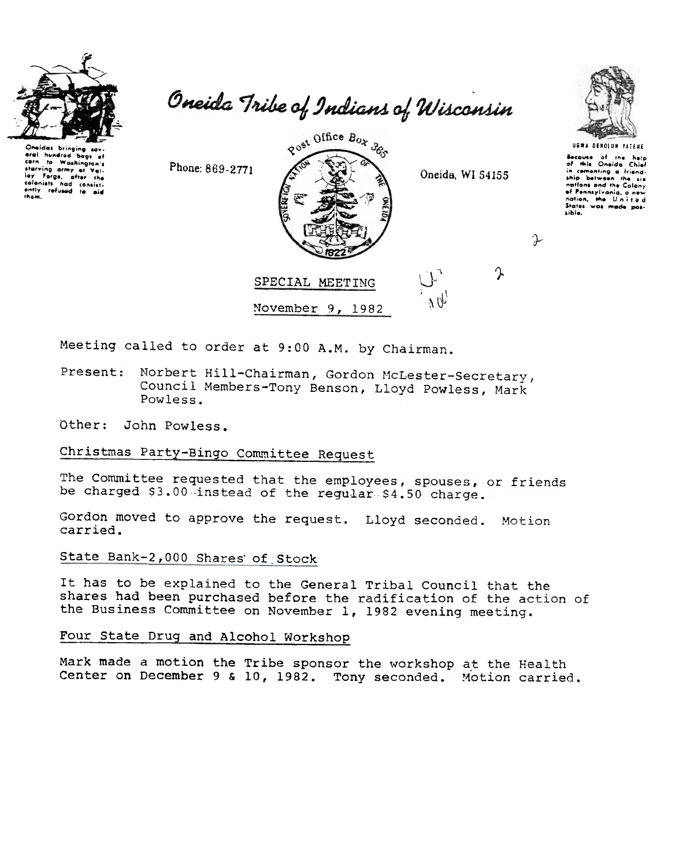

 $O_{\rm F}$ idas bringing eral hundred bogs to Washington's corn starving army at Valcolonists had consist-<br>sntly refused to aid<br>tham, Oneida Tribe of Indians of Wisconsin



November 9, 1982

Oneida, WI 54155

 $\mathcal{V}\big|_{\mathcal{V}}$ 



Because of the help<br>of this Oneida Chief<br>in cementing a friend-<br>ship between the six entions and the Colony<br>of Pennsylvania, a new<br>nation, the United<br>States was made possibis.

P

ጱ

Meeting called to order at 9:00 A.M. by Chairman.

- Norbert Hill-Chairman, Gordon McLester-Secretary, Present: Council Members-Tony Benson, Lloyd Powless, Mark Powless.
- Other: John Powless.

## Christmas Party-Bingo Committee Request

Phone: 869-2771

The Committee requested that the employees, spouses, or friends be charged \$3.00 instead of the regular \$4.50 charge.

Gordon moved to approve the request. Lloyd seconded. Motion carried.

State Bank-2,000 Shares of Stock

It has to be explained to the General Tribal Council that the shares had been purchased before the radification of the action of the Business Committee on November 1, 1982 evening meeting.

Four State Drug and Alcohol Workshop

Mark made a motion the Tribe sponsor the workshop at the Health Center on December 9 & 10, 1982. Tony seconded. Motion carried.